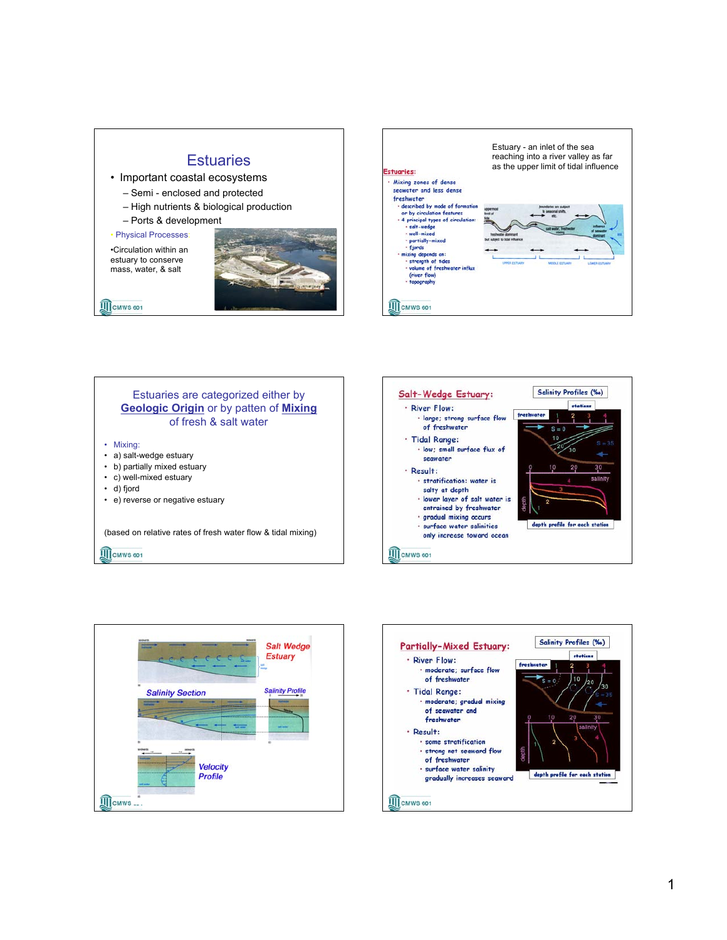## **Estuaries**

- Important coastal ecosystems
	- Semi enclosed and protected
	- High nutrients & biological production
	- Ports & development

• Physical Processes:

•Circulation within an estuary to conserve mass, water, & salt

**III** CMWS 601









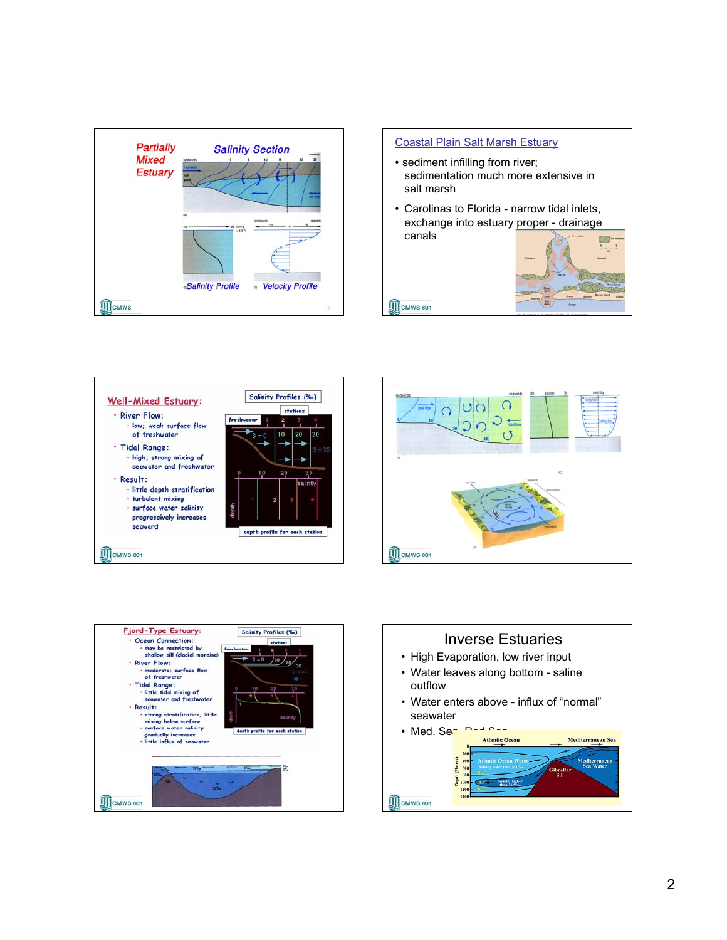

## Coastal Plain Salt Marsh Estuary • sediment infilling from river;

**TE** CMWS 601

- sedimentation much more extensive in salt marsh
- Carolinas to Florida narrow tidal inlets, exchange into estuary proper - drainage canals









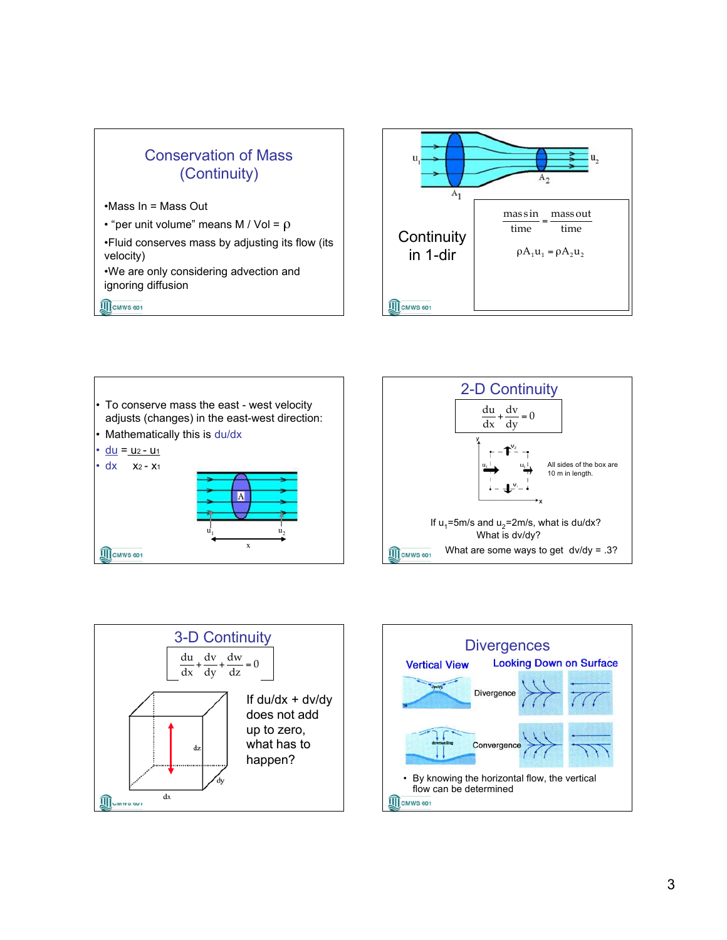

•Mass In = Mass Out

• "per unit volume" means M / Vol =  $\rho$ 

•Fluid conserves mass by adjusting its flow (its velocity)

•We are only considering advection and ignoring diffusion

**TE** CMWS 601